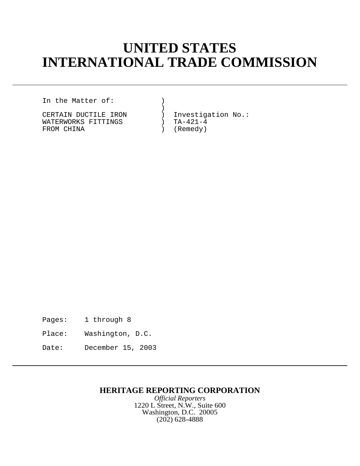# **UNITED STATES INTERNATIONAL TRADE COMMISSION**

In the Matter of: )

 ) WATERWORKS FITTINGS (NATERWORKS FITTINGS) TA-421-4<br>FROM CHINA (Remedy) FROM CHINA  $($ 

CERTAIN DUCTILE IRON (2008) Investigation No.:<br>WATERWORKS FITTINGS (2008) TA-421-4

Pages: 1 through 8

Place: Washington, D.C.

Date: December 15, 2003

# **HERITAGE REPORTING CORPORATION**

*Official Reporters* 1220 L Street, N.W., Suite 600 Washington, D.C. 20005 (202) 628-4888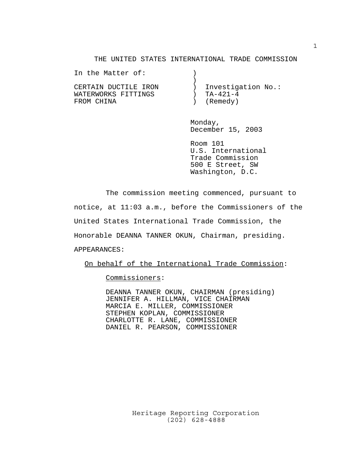### THE UNITED STATES INTERNATIONAL TRADE COMMISSION

| In the Matter of:    |                    |
|----------------------|--------------------|
|                      |                    |
| CERTAIN DUCTILE IRON | Investigation No.: |
| WATERWORKS FITTINGS  | TA-421-4           |
| FROM CHINA           | (Remedy)           |

Monday, December 15, 2003

Room 101 U.S. International Trade Commission 500 E Street, SW Washington, D.C.

The commission meeting commenced, pursuant to notice, at 11:03 a.m., before the Commissioners of the United States International Trade Commission, the Honorable DEANNA TANNER OKUN, Chairman, presiding.

APPEARANCES:

On behalf of the International Trade Commission:

Commissioners:

DEANNA TANNER OKUN, CHAIRMAN (presiding) JENNIFER A. HILLMAN, VICE CHAIRMAN MARCIA E. MILLER, COMMISSIONER STEPHEN KOPLAN, COMMISSIONER CHARLOTTE R. LANE, COMMISSIONER DANIEL R. PEARSON, COMMISSIONER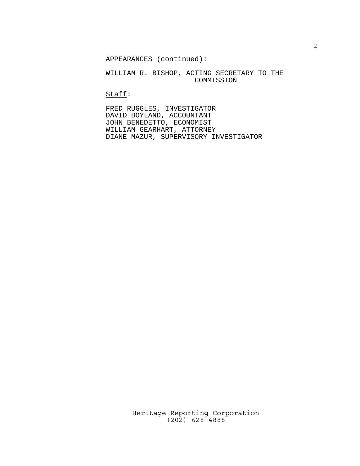APPEARANCES (continued):

## WILLIAM R. BISHOP, ACTING SECRETARY TO THE COMMISSION

Staff:

FRED RUGGLES, INVESTIGATOR DAVID BOYLAND, ACCOUNTANT JOHN BENEDETTO, ECONOMIST WILLIAM GEARHART, ATTORNEY DIANE MAZUR, SUPERVISORY INVESTIGATOR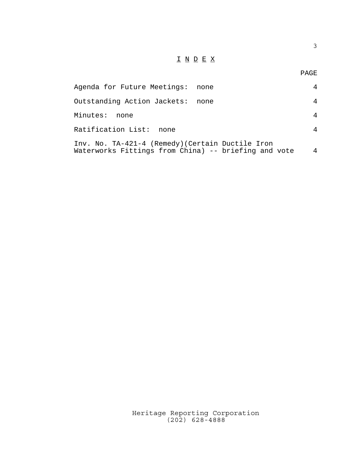## $\underline{\texttt{I}} \ \underline{\texttt{N}} \ \underline{\texttt{D}} \ \underline{\texttt{E}} \ \underline{\texttt{X}}$

3

| Agenda for Future Meetings: none                                                                         |      |   |
|----------------------------------------------------------------------------------------------------------|------|---|
| Outstanding Action Jackets:                                                                              | none | 4 |
| Minutes:<br>none                                                                                         |      | 4 |
| Ratification List:<br>none                                                                               |      | 4 |
| Inv. No. TA-421-4 (Remedy) (Certain Ductile Iron<br>Waterworks Fittings from China) -- briefing and vote |      | 4 |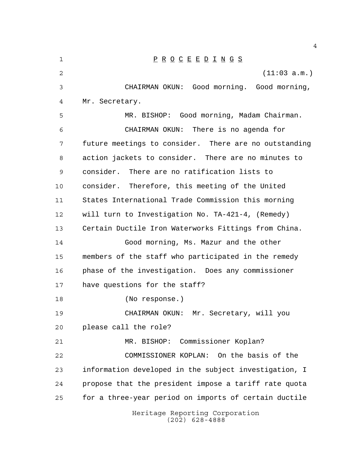| 1  | $\underline{P} \underline{R} \underline{O} \underline{C} \underline{E} \underline{E} \underline{D} \underline{I} \underline{N} \underline{G} \underline{S}$ |  |  |  |  |
|----|-------------------------------------------------------------------------------------------------------------------------------------------------------------|--|--|--|--|
| 2  | (11:03 a.m.)                                                                                                                                                |  |  |  |  |
| 3  | CHAIRMAN OKUN: Good morning. Good morning,                                                                                                                  |  |  |  |  |
| 4  | Mr. Secretary.                                                                                                                                              |  |  |  |  |
| 5  | MR. BISHOP: Good morning, Madam Chairman.                                                                                                                   |  |  |  |  |
| 6  | CHAIRMAN OKUN: There is no agenda for                                                                                                                       |  |  |  |  |
| 7  | future meetings to consider. There are no outstanding                                                                                                       |  |  |  |  |
| 8  | action jackets to consider. There are no minutes to                                                                                                         |  |  |  |  |
| 9  | consider. There are no ratification lists to                                                                                                                |  |  |  |  |
| 10 | consider. Therefore, this meeting of the United                                                                                                             |  |  |  |  |
| 11 | States International Trade Commission this morning                                                                                                          |  |  |  |  |
| 12 | will turn to Investigation No. TA-421-4, (Remedy)                                                                                                           |  |  |  |  |
| 13 | Certain Ductile Iron Waterworks Fittings from China.                                                                                                        |  |  |  |  |
| 14 | Good morning, Ms. Mazur and the other                                                                                                                       |  |  |  |  |
| 15 | members of the staff who participated in the remedy                                                                                                         |  |  |  |  |
| 16 | phase of the investigation. Does any commissioner                                                                                                           |  |  |  |  |
| 17 | have questions for the staff?                                                                                                                               |  |  |  |  |
| 18 | (No response.)                                                                                                                                              |  |  |  |  |
| 19 | CHAIRMAN OKUN:<br>Mr. Secretary, will you                                                                                                                   |  |  |  |  |
| 20 | please call the role?                                                                                                                                       |  |  |  |  |
| 21 | MR. BISHOP: Commissioner Koplan?                                                                                                                            |  |  |  |  |
| 22 | COMMISSIONER KOPLAN: On the basis of the                                                                                                                    |  |  |  |  |
| 23 | information developed in the subject investigation, I                                                                                                       |  |  |  |  |
| 24 | propose that the president impose a tariff rate quota                                                                                                       |  |  |  |  |
| 25 | for a three-year period on imports of certain ductile                                                                                                       |  |  |  |  |
|    | Heritage Reporting Corporation<br>$(202)$ 628-4888                                                                                                          |  |  |  |  |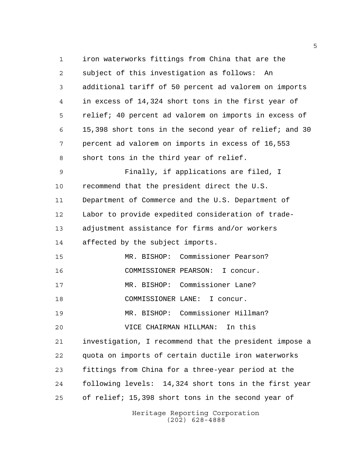Heritage Reporting Corporation iron waterworks fittings from China that are the subject of this investigation as follows: An additional tariff of 50 percent ad valorem on imports in excess of 14,324 short tons in the first year of relief; 40 percent ad valorem on imports in excess of 15,398 short tons in the second year of relief; and 30 percent ad valorem on imports in excess of 16,553 short tons in the third year of relief. Finally, if applications are filed, I recommend that the president direct the U.S. Department of Commerce and the U.S. Department of Labor to provide expedited consideration of trade- adjustment assistance for firms and/or workers affected by the subject imports. MR. BISHOP: Commissioner Pearson? COMMISSIONER PEARSON: I concur. MR. BISHOP: Commissioner Lane? 18 COMMISSIONER LANE: I concur. MR. BISHOP: Commissioner Hillman? VICE CHAIRMAN HILLMAN: In this investigation, I recommend that the president impose a quota on imports of certain ductile iron waterworks fittings from China for a three-year period at the following levels: 14,324 short tons in the first year of relief; 15,398 short tons in the second year of

(202) 628-4888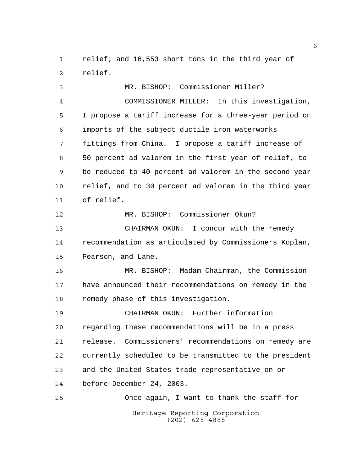relief; and 16,553 short tons in the third year of relief.

Heritage Reporting Corporation MR. BISHOP: Commissioner Miller? COMMISSIONER MILLER: In this investigation, I propose a tariff increase for a three-year period on imports of the subject ductile iron waterworks fittings from China. I propose a tariff increase of 50 percent ad valorem in the first year of relief, to be reduced to 40 percent ad valorem in the second year relief, and to 30 percent ad valorem in the third year of relief. MR. BISHOP: Commissioner Okun? CHAIRMAN OKUN: I concur with the remedy recommendation as articulated by Commissioners Koplan, Pearson, and Lane. MR. BISHOP: Madam Chairman, the Commission have announced their recommendations on remedy in the remedy phase of this investigation. CHAIRMAN OKUN: Further information regarding these recommendations will be in a press release. Commissioners' recommendations on remedy are currently scheduled to be transmitted to the president and the United States trade representative on or before December 24, 2003. Once again, I want to thank the staff for

(202) 628-4888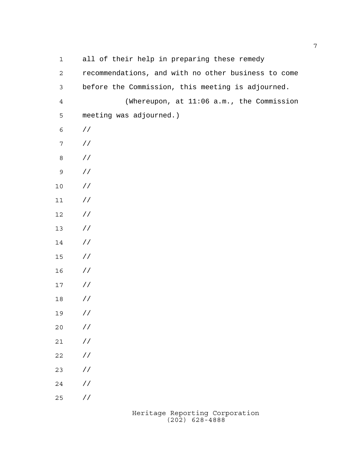| $\mathbf 1$    | all of their help in preparing these remedy         |
|----------------|-----------------------------------------------------|
| $\mathbf{2}$   | recommendations, and with no other business to come |
| $\mathfrak{Z}$ | before the Commission, this meeting is adjourned.   |
| $\overline{4}$ | (Whereupon, at 11:06 a.m., the Commission           |
| 5              | meeting was adjourned.)                             |
| $\epsilon$     | $\frac{1}{2}$                                       |
| $\sqrt{ }$     | $\frac{1}{2}$                                       |
| $\,8\,$        | $\frac{1}{2}$                                       |
| $\mathsf 9$    | $\frac{1}{2}$                                       |
| $10$           | $\frac{1}{2}$                                       |
| $11\,$         | $\frac{1}{2}$                                       |
| 12             | $\frac{1}{2}$                                       |
| 13             | $\frac{1}{2}$                                       |
| 14             | $\frac{1}{2}$                                       |
| $15$           | $\frac{1}{2}$                                       |
| 16             | $\frac{1}{2}$                                       |
| $17$           | $\frac{1}{2}$                                       |
| 18             | $\frac{1}{2}$                                       |
| 19             | $\frac{1}{2}$                                       |
| 20             | $\!/\!$ /                                           |
| $2\,1$         | $\!/\!$                                             |
| 22             | $\!/\!$                                             |
| 23             | $\!/\!$                                             |
| 24             | $\!/\!$                                             |
| 25             | / $\mskip-5mu/\mskip-5mu$                           |